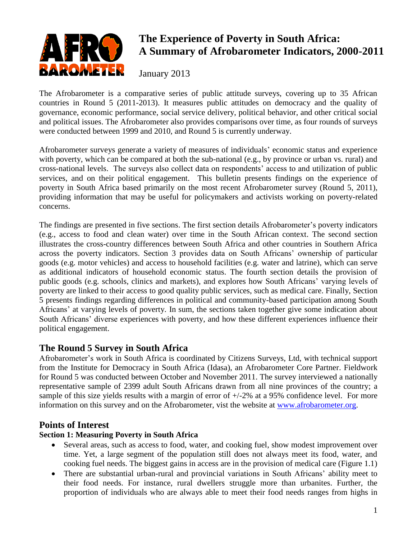

# **The Experience of Poverty in South Africa: A Summary of Afrobarometer Indicators, 2000-2011**

January 2013

The Afrobarometer is a comparative series of public attitude surveys, covering up to 35 African countries in Round 5 (2011-2013). It measures public attitudes on democracy and the quality of governance, economic performance, social service delivery, political behavior, and other critical social and political issues. The Afrobarometer also provides comparisons over time, as four rounds of surveys were conducted between 1999 and 2010, and Round 5 is currently underway.

Afrobarometer surveys generate a variety of measures of individuals' economic status and experience with poverty, which can be compared at both the sub-national (e.g., by province or urban vs. rural) and cross-national levels. The surveys also collect data on respondents' access to and utilization of public services, and on their political engagement. This bulletin presents findings on the experience of poverty in South Africa based primarily on the most recent Afrobarometer survey (Round 5, 2011), providing information that may be useful for policymakers and activists working on poverty-related concerns.

The findings are presented in five sections. The first section details Afrobarometer's poverty indicators (e.g., access to food and clean water) over time in the South African context. The second section illustrates the cross-country differences between South Africa and other countries in Southern Africa across the poverty indicators. Section 3 provides data on South Africans' ownership of particular goods (e.g. motor vehicles) and access to household facilities (e.g. water and latrine), which can serve as additional indicators of household economic status. The fourth section details the provision of public goods (e.g. schools, clinics and markets), and explores how South Africans' varying levels of poverty are linked to their access to good quality public services, such as medical care. Finally, Section 5 presents findings regarding differences in political and community-based participation among South Africans' at varying levels of poverty. In sum, the sections taken together give some indication about South Africans' diverse experiences with poverty, and how these different experiences influence their political engagement.

# **The Round 5 Survey in South Africa**

Afrobarometer's work in South Africa is coordinated by Citizens Surveys, Ltd, with technical support from the Institute for Democracy in South Africa (Idasa), an Afrobarometer Core Partner. Fieldwork for Round 5 was conducted between October and November 2011. The survey interviewed a nationally representative sample of 2399 adult South Africans drawn from all nine provinces of the country; a sample of this size yields results with a margin of error of +/-2% at a 95% confidence level. For more information on this survey and on the Afrobarometer, vist the website at [www.afrobarometer.org.](http://www.afrobarometer.org/)

# **Points of Interest**

# **Section 1: Measuring Poverty in South Africa**

- Several areas, such as access to food, water, and cooking fuel, show modest improvement over time. Yet, a large segment of the population still does not always meet its food, water, and cooking fuel needs. The biggest gains in access are in the provision of medical care (Figure 1.1)
- There are substantial urban-rural and provincial variations in South Africans' ability meet to their food needs. For instance, rural dwellers struggle more than urbanites. Further, the proportion of individuals who are always able to meet their food needs ranges from highs in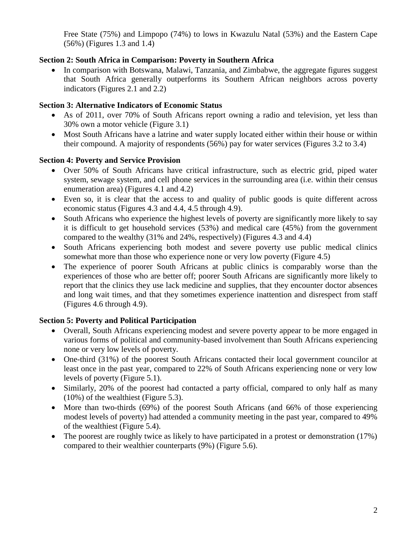Free State (75%) and Limpopo (74%) to lows in Kwazulu Natal (53%) and the Eastern Cape (56%) (Figures 1.3 and 1.4)

## **Section 2: South Africa in Comparison: Poverty in Southern Africa**

• In comparison with Botswana, Malawi, Tanzania, and Zimbabwe, the aggregate figures suggest that South Africa generally outperforms its Southern African neighbors across poverty indicators (Figures 2.1 and 2.2)

## **Section 3: Alternative Indicators of Economic Status**

- As of 2011, over 70% of South Africans report owning a radio and television, yet less than 30% own a motor vehicle (Figure 3.1)
- Most South Africans have a latrine and water supply located either within their house or within their compound. A majority of respondents (56%) pay for water services (Figures 3.2 to 3.4)

# **Section 4: Poverty and Service Provision**

- Over 50% of South Africans have critical infrastructure, such as electric grid, piped water system, sewage system, and cell phone services in the surrounding area (i.e. within their census enumeration area) (Figures 4.1 and 4.2)
- Even so, it is clear that the access to and quality of public goods is quite different across economic status (Figures 4.3 and 4.4, 4.5 through 4.9).
- South Africans who experience the highest levels of poverty are significantly more likely to say it is difficult to get household services (53%) and medical care (45%) from the government compared to the wealthy (31% and 24%, respectively) (Figures 4.3 and 4.4)
- South Africans experiencing both modest and severe poverty use public medical clinics somewhat more than those who experience none or very low poverty (Figure 4.5)
- The experience of poorer South Africans at public clinics is comparably worse than the experiences of those who are better off; poorer South Africans are significantly more likely to report that the clinics they use lack medicine and supplies, that they encounter doctor absences and long wait times, and that they sometimes experience inattention and disrespect from staff (Figures 4.6 through 4.9).

# **Section 5: Poverty and Political Participation**

- Overall, South Africans experiencing modest and severe poverty appear to be more engaged in various forms of political and community-based involvement than South Africans experiencing none or very low levels of poverty.
- One-third (31%) of the poorest South Africans contacted their local government councilor at least once in the past year, compared to 22% of South Africans experiencing none or very low levels of poverty (Figure 5.1).
- Similarly, 20% of the poorest had contacted a party official, compared to only half as many (10%) of the wealthiest (Figure 5.3).
- More than two-thirds (69%) of the poorest South Africans (and 66% of those experiencing modest levels of poverty) had attended a community meeting in the past year, compared to 49% of the wealthiest (Figure 5.4).
- The poorest are roughly twice as likely to have participated in a protest or demonstration (17%) compared to their wealthier counterparts (9%) (Figure 5.6).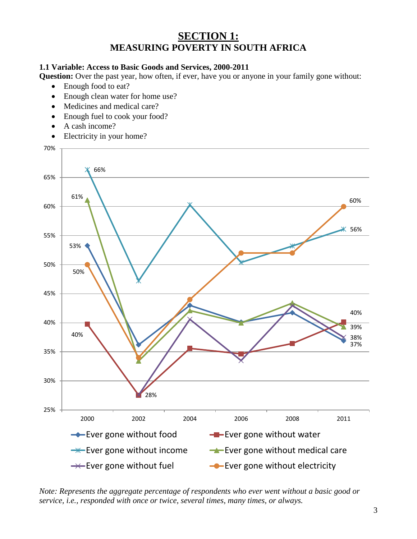# **SECTION 1: MEASURING POVERTY IN SOUTH AFRICA**

## **1.1 Variable: Access to Basic Goods and Services, 2000-2011**

**Question:** Over the past year, how often, if ever, have you or anyone in your family gone without:

- Enough food to eat?
- Enough clean water for home use?
- Medicines and medical care?
- Enough fuel to cook your food?
- A cash income?
- Electricity in your home?



*Note: Represents the aggregate percentage of respondents who ever went without a basic good or service, i.e., responded with once or twice, several times, many times, or always.*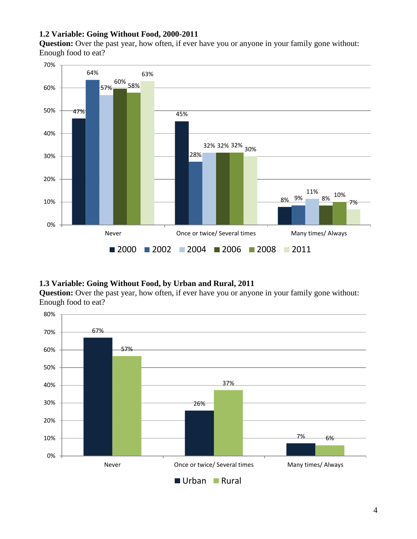# **1.2 Variable: Going Without Food, 2000-2011**

**Question:** Over the past year, how often, if ever have you or anyone in your family gone without: Enough food to eat?



### **1.3 Variable: Going Without Food, by Urban and Rural, 2011**

**Question:** Over the past year, how often, if ever have you or anyone in your family gone without: Enough food to eat?

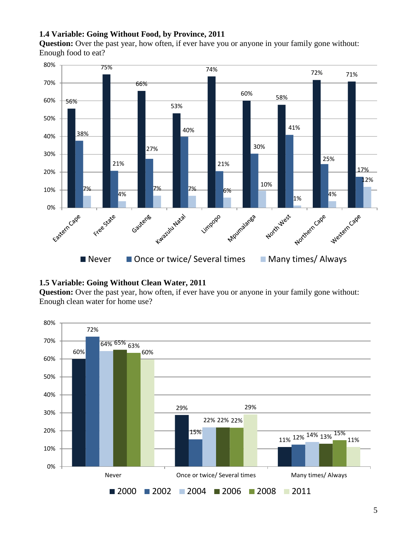# **1.4 Variable: Going Without Food, by Province, 2011**

**Question:** Over the past year, how often, if ever have you or anyone in your family gone without: Enough food to eat?



#### **1.5 Variable: Going Without Clean Water, 2011**

**Question:** Over the past year, how often, if ever have you or anyone in your family gone without: Enough clean water for home use?

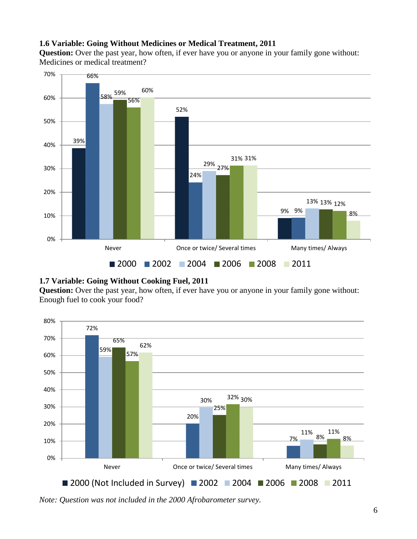## **1.6 Variable: Going Without Medicines or Medical Treatment, 2011**

**Question:** Over the past year, how often, if ever have you or anyone in your family gone without: Medicines or medical treatment?



### **1.7 Variable: Going Without Cooking Fuel, 2011**

**Question:** Over the past year, how often, if ever have you or anyone in your family gone without: Enough fuel to cook your food?



*Note: Question was not included in the 2000 Afrobarometer survey.*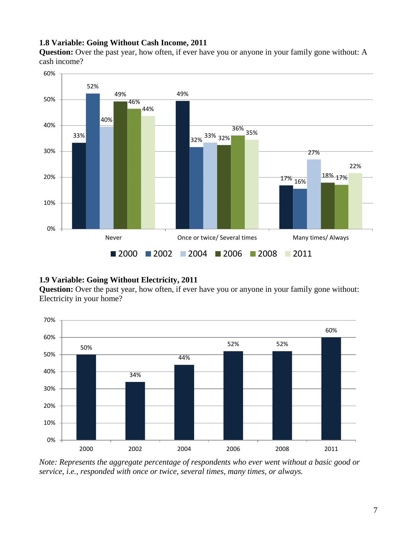### **1.8 Variable: Going Without Cash Income, 2011**

**Question:** Over the past year, how often, if ever have you or anyone in your family gone without: A cash income?



### **1.9 Variable: Going Without Electricity, 2011**

**Question:** Over the past year, how often, if ever have you or anyone in your family gone without: Electricity in your home?



*Note: Represents the aggregate percentage of respondents who ever went without a basic good or service, i.e., responded with once or twice, several times, many times, or always.*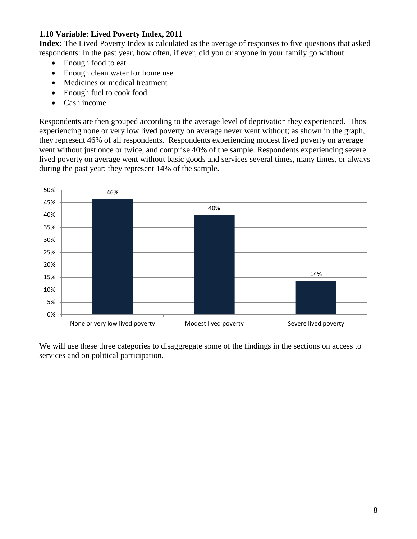## **1.10 Variable: Lived Poverty Index, 2011**

**Index:** The Lived Poverty Index is calculated as the average of responses to five questions that asked respondents: In the past year, how often, if ever, did you or anyone in your family go without:

- Enough food to eat
- Enough clean water for home use
- Medicines or medical treatment
- Enough fuel to cook food
- Cash income

Respondents are then grouped according to the average level of deprivation they experienced. Thos experiencing none or very low lived poverty on average never went without; as shown in the graph, they represent 46% of all respondents. Respondents experiencing modest lived poverty on average went without just once or twice, and comprise 40% of the sample. Respondents experiencing severe lived poverty on average went without basic goods and services several times, many times, or always during the past year; they represent 14% of the sample.



We will use these three categories to disaggregate some of the findings in the sections on access to services and on political participation.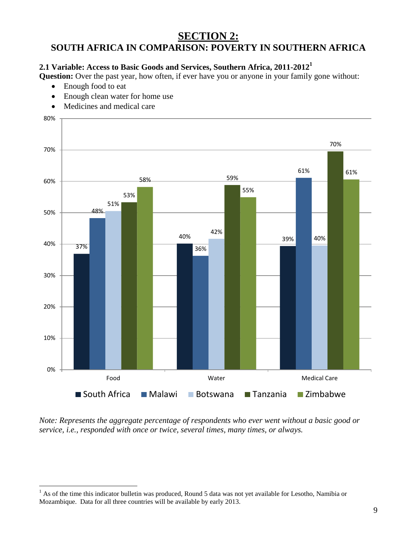# **SECTION 2: SOUTH AFRICA IN COMPARISON: POVERTY IN SOUTHERN AFRICA**

# **2.1 Variable: Access to Basic Goods and Services, Southern Africa, 2011-2012<sup>1</sup>**

**Question:** Over the past year, how often, if ever have you or anyone in your family gone without:

• Enough food to eat

 $\overline{a}$ 

- Enough clean water for home use
- Medicines and medical care



*Note: Represents the aggregate percentage of respondents who ever went without a basic good or service, i.e., responded with once or twice, several times, many times, or always.*

<sup>&</sup>lt;sup>1</sup> As of the time this indicator bulletin was produced, Round 5 data was not yet available for Lesotho, Namibia or Mozambique. Data for all three countries will be available by early 2013.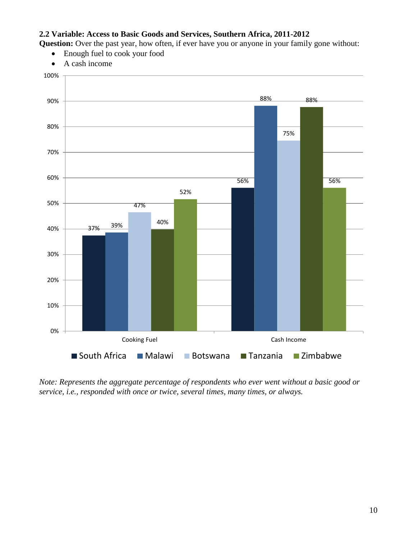## **2.2 Variable: Access to Basic Goods and Services, Southern Africa, 2011-2012**

**Question:** Over the past year, how often, if ever have you or anyone in your family gone without:

- Enough fuel to cook your food
- A cash income



*Note: Represents the aggregate percentage of respondents who ever went without a basic good or service, i.e., responded with once or twice, several times, many times, or always.*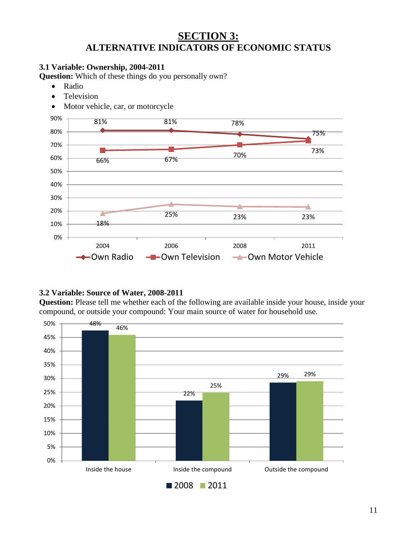# **SECTION 3: ALTERNATIVE INDICATORS OF ECONOMIC STATUS**

# **3.1 Variable: Ownership, 2004-2011**

**Question:** Which of these things do you personally own?

- Radio
- Television
- Motor vehicle, car, or motorcycle



## **3.2 Variable: Source of Water, 2008-2011**

**Question:** Please tell me whether each of the following are available inside your house, inside your compound, or outside your compound: Your main source of water for household use.

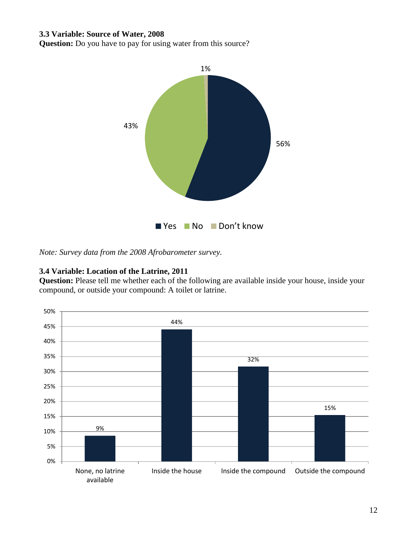#### **3.3 Variable: Source of Water, 2008**

**Question:** Do you have to pay for using water from this source?



*Note: Survey data from the 2008 Afrobarometer survey.*

#### **3.4 Variable: Location of the Latrine, 2011**

**Question:** Please tell me whether each of the following are available inside your house, inside your compound, or outside your compound: A toilet or latrine.

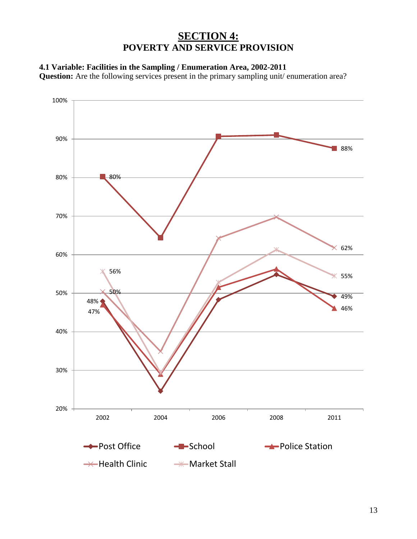# **SECTION 4: POVERTY AND SERVICE PROVISION**

# **4.1 Variable: Facilities in the Sampling / Enumeration Area, 2002-2011**

**Question:** Are the following services present in the primary sampling unit/ enumeration area?

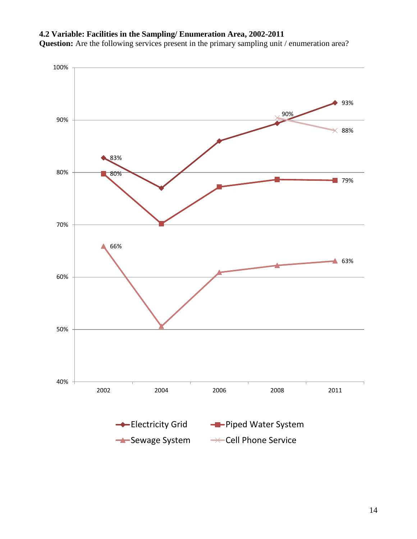# **4.2 Variable: Facilities in the Sampling/ Enumeration Area, 2002-2011**

**Question:** Are the following services present in the primary sampling unit / enumeration area?

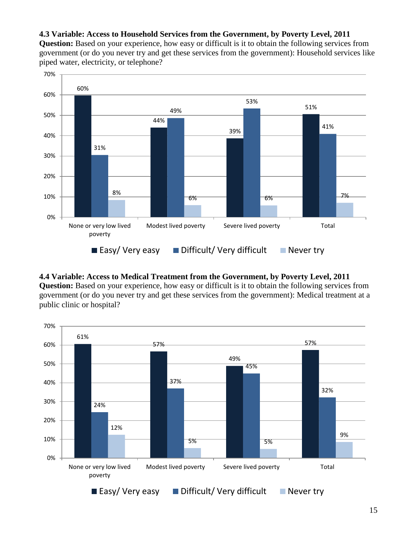#### **4.3 Variable: Access to Household Services from the Government, by Poverty Level, 2011**

**Question:** Based on your experience, how easy or difficult is it to obtain the following services from government (or do you never try and get these services from the government): Household services like piped water, electricity, or telephone?



# **4.4 Variable: Access to Medical Treatment from the Government, by Poverty Level, 2011**

**Question:** Based on your experience, how easy or difficult is it to obtain the following services from government (or do you never try and get these services from the government): Medical treatment at a public clinic or hospital?

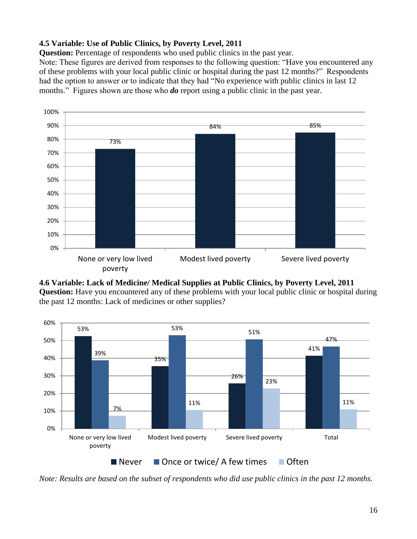# **4.5 Variable: Use of Public Clinics, by Poverty Level, 2011**

**Question:** Percentage of respondents who used public clinics in the past year.

Note: These figures are derived from responses to the following question: "Have you encountered any of these problems with your local public clinic or hospital during the past 12 months?" Respondents had the option to answer or to indicate that they had "No experience with public clinics in last 12 months." Figures shown are those who *do* report using a public clinic in the past year.







*Note: Results are based on the subset of respondents who did use public clinics in the past 12 months.*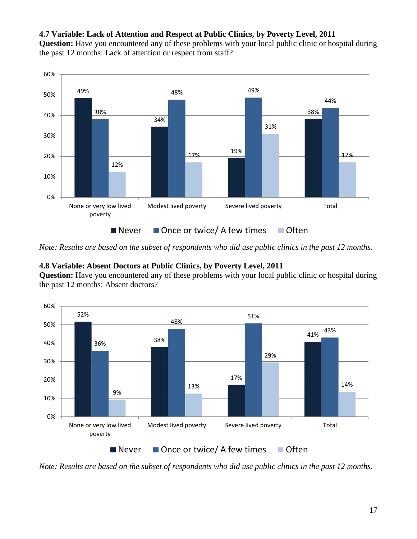# **4.7 Variable: Lack of Attention and Respect at Public Clinics, by Poverty Level, 2011**

**Question:** Have you encountered any of these problems with your local public clinic or hospital during the past 12 months: Lack of attention or respect from staff?



*Note: Results are based on the subset of respondents who did use public clinics in the past 12 months.*

# **4.8 Variable: Absent Doctors at Public Clinics, by Poverty Level, 2011**

**Question:** Have you encountered any of these problems with your local public clinic or hospital during the past 12 months: Absent doctors?



*Note: Results are based on the subset of respondents who did use public clinics in the past 12 months.*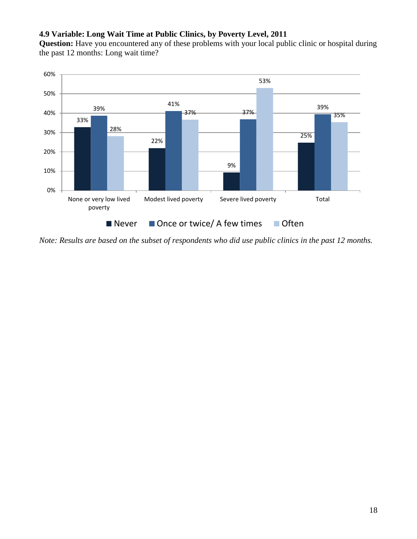# **4.9 Variable: Long Wait Time at Public Clinics, by Poverty Level, 2011**

**Question:** Have you encountered any of these problems with your local public clinic or hospital during the past 12 months: Long wait time?



*Note: Results are based on the subset of respondents who did use public clinics in the past 12 months.*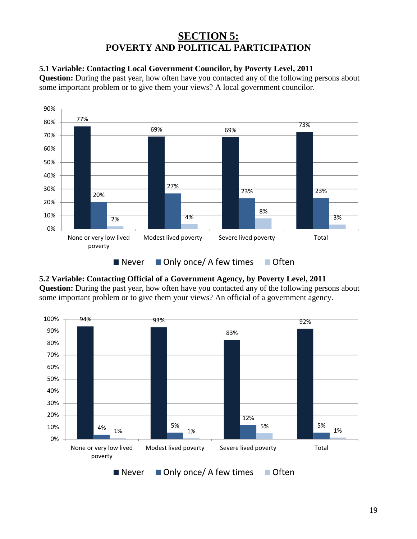# **SECTION 5: POVERTY AND POLITICAL PARTICIPATION**

# **5.1 Variable: Contacting Local Government Councilor, by Poverty Level, 2011**

**Question:** During the past year, how often have you contacted any of the following persons about some important problem or to give them your views? A local government councilor.



# **5.2 Variable: Contacting Official of a Government Agency, by Poverty Level, 2011**

**Question:** During the past year, how often have you contacted any of the following persons about some important problem or to give them your views? An official of a government agency.

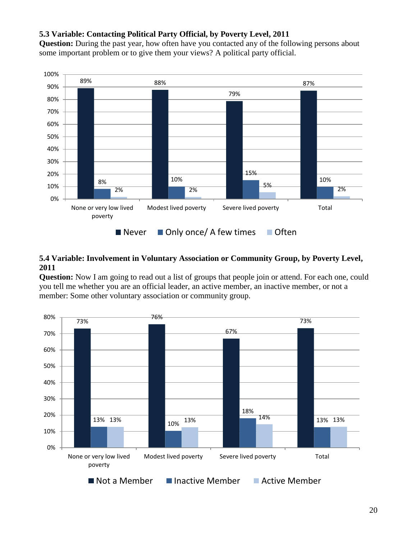## **5.3 Variable: Contacting Political Party Official, by Poverty Level, 2011**

**Question:** During the past year, how often have you contacted any of the following persons about some important problem or to give them your views? A political party official.



## **5.4 Variable: Involvement in Voluntary Association or Community Group, by Poverty Level, 2011**

**Question:** Now I am going to read out a list of groups that people join or attend. For each one, could you tell me whether you are an official leader, an active member, an inactive member, or not a member: Some other voluntary association or community group.

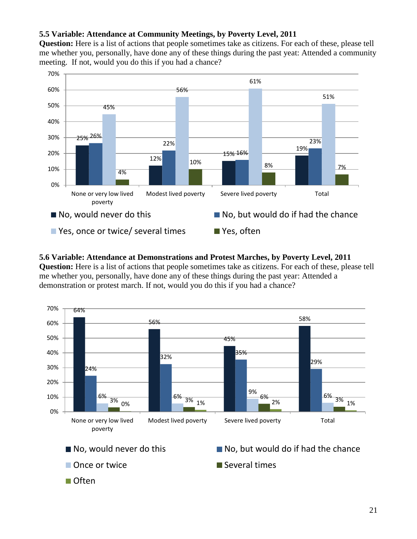# **5.5 Variable: Attendance at Community Meetings, by Poverty Level, 2011**

**Question:** Here is a list of actions that people sometimes take as citizens. For each of these, please tell me whether you, personally, have done any of these things during the past yeat: Attended a community meeting. If not, would you do this if you had a chance?



#### **5.6 Variable: Attendance at Demonstrations and Protest Marches, by Poverty Level, 2011**

**Question:** Here is a list of actions that people sometimes take as citizens. For each of these, please tell me whether you, personally, have done any of these things during the past year: Attended a demonstration or protest march. If not, would you do this if you had a chance?